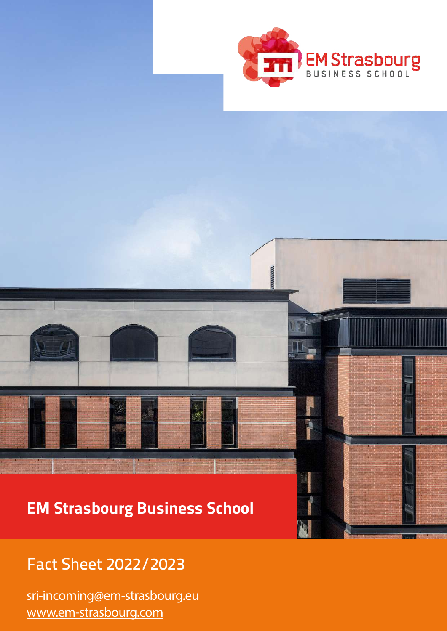

**NUMBER** 

J

## EM Strasbourg Business School

## Fact Sheet 2022/2023

sri-incoming@em-strasbourg.eu [www.em-strasbourg.com](https://www.em-strasbourg.com/en)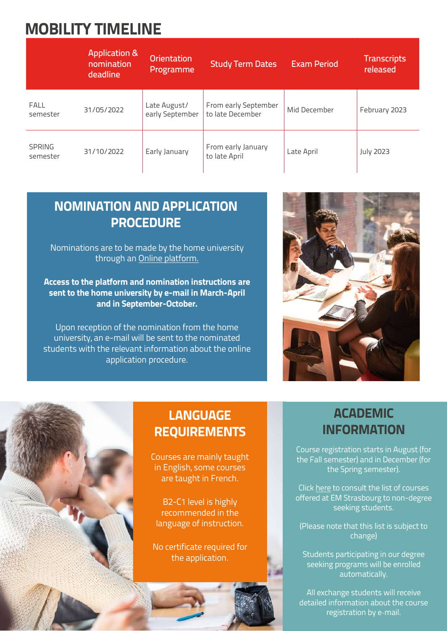## MOBILITY TIMELINE

|                           | <b>Application &amp;</b><br>nomination<br>deadline | <b>Orientation</b><br>Programme | <b>Study Term Dates</b>                  | <b>Exam Period</b> | <b>Transcripts</b><br>released |
|---------------------------|----------------------------------------------------|---------------------------------|------------------------------------------|--------------------|--------------------------------|
| <b>FALL</b><br>semester   | 31/05/2022                                         | Late August/<br>early September | From early September<br>to late December | Mid December       | February 2023                  |
| <b>SPRING</b><br>semester | 31/10/2022                                         | Early January                   | From early January<br>to late April      | Late April         | <b>July 2023</b>               |

### NOMINATION AND APPLICATION **PROCEDURE**

Nominations are to be made by the home university through an [Online platform.](https://si.em-strasbourg.eu/incoming/?page=nominations)

Access to the platform and nomination instructions are sent to the home university by e-mail in March-April and in September-October.

Upon reception of the nomination from the home university, an e-mail will be sent to the nominated students with the relevant information about the online application procedure.



### **LANGUAGE** REQUIREMENTS

Courses are mainly taught in English, some courses are taught in French.

B2-C1 level is highly recommended in the language of instruction.

No certificate required for the application.

### ACADEMIC INFORMATION

Course registration starts in August (for the Fall semester) and in December (for the Spring semester).

Click [here](https://intranet.em-strasbourg.eu/views/list_cours_visitants.php?) to consult the list of courses offered at EM Strasbourg to non-degree seeking students.

(Please note that this list is subject to change)

Students participating in our degree seeking programs will be enrolled automatically.

All exchange students will receive detailed information about the course registration by e-mail.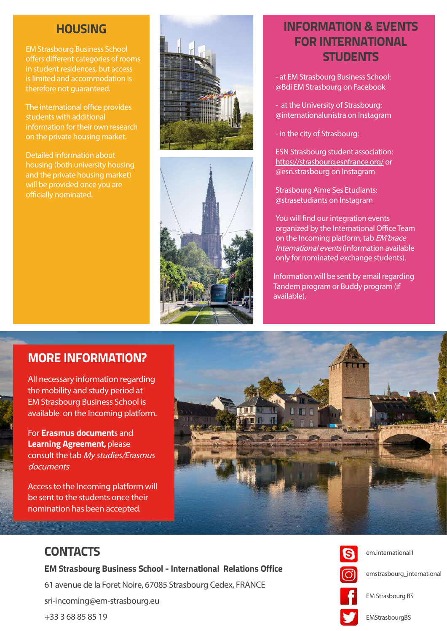#### **HOUSING**

EM Strasbourg Business School offers different categories of rooms in student residences, but access is limited and accommodation is therefore not quaranteed.

The international office provides students with additional information for their own research on the private housing market.

Detailed information about housing (both university housing and the private housing market) will be provided once you are officially nominated.





### INFORMATION & EVENTS FOR INTERNATIONAL **STUDENTS**

- at EM Strasbourg Business School: @Bdi EM Strasbourg on Facebook

- at the University of Strasbourg: @internationalunistra on Instagram

- in the city of Strasbourg:

ESN Strasbourg student association: <https://strasbourg.esnfrance.org/>or @esn.strasbourg on Instagram

Strasbourg Aime Ses Etudiants: @strasetudiants on Instagram

You will find our integration events organized by the International Office Team on the Incoming platform, tab EM'brace International events (information available only for nominated exchange students).

Information will be sent by email regarding Tandem program or Buddy program (if available).

#### MORE INFORMATION?

All necessary information regarding the mobility and study period at EM Strasbourg Business School is available on the Incoming platform.

For Erasmus documents and Learning Agreement, please consult the tab My studies/Erasmus documents

Access to the Incoming platform will be sent to the students once their nomination has been accepted.



#### **CONTACTS**

EM Strasbourg Business School - International Relations Office 61 avenue de la Foret Noire, 67085 Strasbourg Cedex, FRANCE sri-incoming@em-strasbourg.eu +33 3 68 85 85 19

![](_page_2_Picture_21.jpeg)

em.international1

emstrasbourg\_international

EM Strasbourg BS

EMStrasbourgBS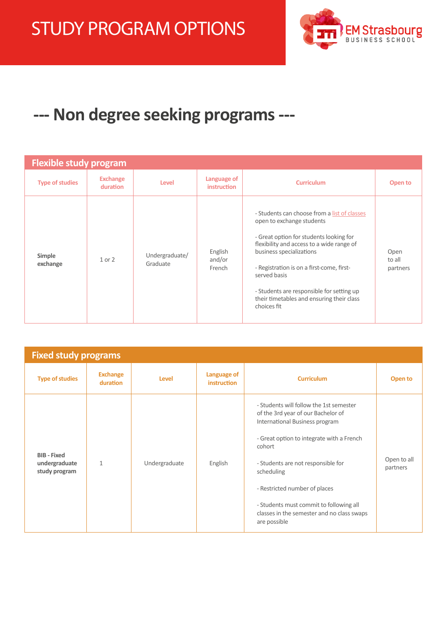![](_page_3_Picture_1.jpeg)

## **--- Non degree seeking programs ---**

| <b>Flexible study program</b> |                             |                            |                                   |                                                                                                                                                                                                                                                                                                                                                                     |                            |
|-------------------------------|-----------------------------|----------------------------|-----------------------------------|---------------------------------------------------------------------------------------------------------------------------------------------------------------------------------------------------------------------------------------------------------------------------------------------------------------------------------------------------------------------|----------------------------|
| <b>Type of studies</b>        | <b>Exchange</b><br>duration | Level                      | Language of<br><i>instruction</i> | <b>Curriculum</b>                                                                                                                                                                                                                                                                                                                                                   | Open to                    |
| Simple<br>exchange            | 1 or 2                      | Undergraduate/<br>Graduate | English<br>and/or<br>French       | - Students can choose from a list of classes<br>open to exchange students<br>- Great option for students looking for<br>flexibility and access to a wide range of<br>business specializations<br>- Registration is on a first-come, first-<br>served basis<br>- Students are responsible for setting up<br>their timetables and ensuring their class<br>choices fit | Open<br>to all<br>partners |

| <b>Fixed study programs</b>                          |                             |               |                                   |                                                                                                                                                                                                                                                                                                                                                                      |                         |
|------------------------------------------------------|-----------------------------|---------------|-----------------------------------|----------------------------------------------------------------------------------------------------------------------------------------------------------------------------------------------------------------------------------------------------------------------------------------------------------------------------------------------------------------------|-------------------------|
| <b>Type of studies</b>                               | <b>Exchange</b><br>duration | Level         | Language of<br><b>instruction</b> | <b>Curriculum</b>                                                                                                                                                                                                                                                                                                                                                    | Open to                 |
| <b>BIB - Fixed</b><br>undergraduate<br>study program | 1                           | Undergraduate | English                           | - Students will follow the 1st semester<br>of the 3rd year of our Bachelor of<br>International Business program<br>- Great option to integrate with a French<br>cohort<br>- Students are not responsible for<br>scheduling<br>- Restricted number of places<br>- Students must commit to following all<br>classes in the semester and no class swaps<br>are possible | Open to all<br>partners |